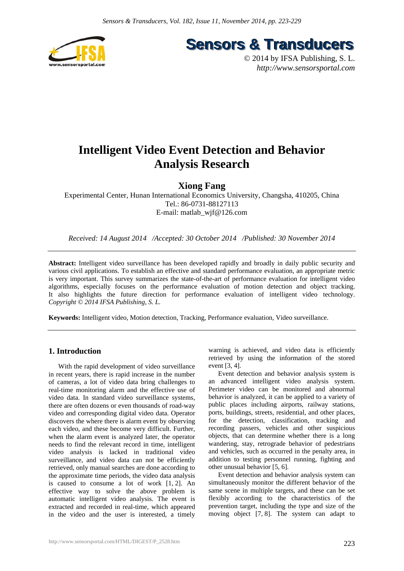

**Sensors & Transducers** 

© 2014 by IFSA Publishing, S. L. *http://www.sensorsportal.com*

# **Intelligent Video Event Detection and Behavior Analysis Research**

# **Xiong Fang**

Experimental Center, Hunan International Economics University, Changsha, 410205, China Tel.: 86-0731-88127113 E-mail: matlab\_wjf@126.com

*Received: 14 August 2014 /Accepted: 30 October 2014 /Published: 30 November 2014* 

**Abstract:** Intelligent video surveillance has been developed rapidly and broadly in daily public security and various civil applications. To establish an effective and standard performance evaluation, an appropriate metric is very important. This survey summarizes the state-of-the-art of performance evaluation for intelligent video algorithms, especially focuses on the performance evaluation of motion detection and object tracking. It also highlights the future direction for performance evaluation of intelligent video technology. *Copyright © 2014 IFSA Publishing, S. L.*

**Keywords:** Intelligent video, Motion detection, Tracking, Performance evaluation, Video surveillance.

## **1. Introduction**

With the rapid development of video surveillance in recent years, there is rapid increase in the number of cameras, a lot of video data bring challenges to real-time monitoring alarm and the effective use of video data. In standard video surveillance systems, there are often dozens or even thousands of road-way video and corresponding digital video data. Operator discovers the where there is alarm event by observing each video, and these become very difficult. Further, when the alarm event is analyzed later, the operator needs to find the relevant record in time, intelligent video analysis is lacked in traditional video surveillance, and video data can not be efficiently retrieved, only manual searches are done according to the approximate time periods, the video data analysis is caused to consume a lot of work [1, 2]. An effective way to solve the above problem is automatic intelligent video analysis. The event is extracted and recorded in real-time, which appeared in the video and the user is interested, a timely

warning is achieved, and video data is efficiently retrieved by using the information of the stored event [3, 4].

Event detection and behavior analysis system is an advanced intelligent video analysis system. Perimeter video can be monitored and abnormal behavior is analyzed, it can be applied to a variety of public places including airports, railway stations, ports, buildings, streets, residential, and other places, for the detection, classification, tracking and recording passers, vehicles and other suspicious objects, that can determine whether there is a long wandering, stay, retrograde behavior of pedestrians and vehicles, such as occurred in the penalty area, in addition to testing personnel running, fighting and other unusual behavior [5, 6].

Event detection and behavior analysis system can simultaneously monitor the different behavior of the same scene in multiple targets, and these can be set flexibly according to the characteristics of the prevention target, including the type and size of the moving object [7, 8]. The system can adapt to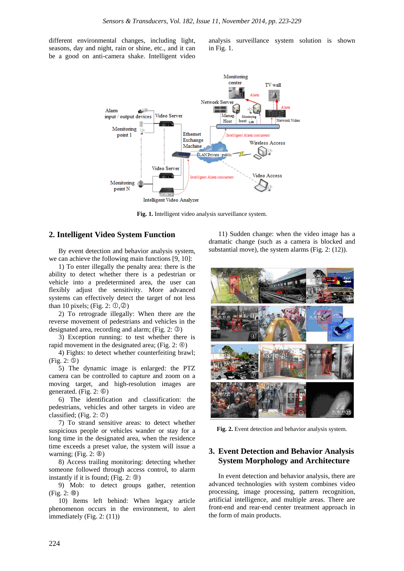different environmental changes, including light, seasons, day and night, rain or shine, etc., and it can be a good on anti-camera shake. Intelligent video

analysis surveillance system solution is shown in Fig. 1.



**Fig. 1.** Intelligent video analysis surveillance system.

### **2. Intelligent Video System Function**

By event detection and behavior analysis system, we can achieve the following main functions [9, 10]:

1) To enter illegally the penalty area: there is the ability to detect whether there is a pedestrian or vehicle into a predetermined area, the user can flexibly adjust the sensitivity. More advanced systems can effectively detect the target of not less than 10 pixels; (Fig. 2:  $\mathbb{O}, \mathbb{Q}$ )

2) To retrograde illegally: When there are the reverse movement of pedestrians and vehicles in the designated area, recording and alarm; (Fig.  $2: \circled{3}$ )

3) Exception running: to test whether there is rapid movement in the designated area; (Fig.  $2: \circledA$ )

4) Fights: to detect whether counterfeiting brawl;  $(Fig. 2: \mathbb{S})$ 

5) The dynamic image is enlarged: the PTZ camera can be controlled to capture and zoom on a moving target, and high-resolution images are generated. (Fig.  $2: \circledcirc$ )

6) The identification and classification: the pedestrians, vehicles and other targets in video are classified; (Fig. 2:  $\oslash$ )

7) To strand sensitive areas: to detect whether suspicious people or vehicles wander or stay for a long time in the designated area, when the residence time exceeds a preset value, the system will issue a warning;  $(Fig. 2: ③)$ 

8) Access trailing monitoring: detecting whether someone followed through access control, to alarm instantly if it is found; (Fig.  $2: \circled{9}$ )

9) Mob: to detect groups gather, retention  $(Fig. 2: ①)$ 

10) Items left behind: When legacy article phenomenon occurs in the environment, to alert immediately (Fig. 2: (11))

11) Sudden change: when the video image has a dramatic change (such as a camera is blocked and substantial move), the system alarms (Fig. 2: (12)).



**Fig. 2.** Event detection and behavior analysis system.

## **3. Event Detection and Behavior Analysis System Morphology and Architecture**

In event detection and behavior analysis, there are advanced technologies with system combines video processing, image processing, pattern recognition, artificial intelligence, and multiple areas. There are front-end and rear-end center treatment approach in the form of main products.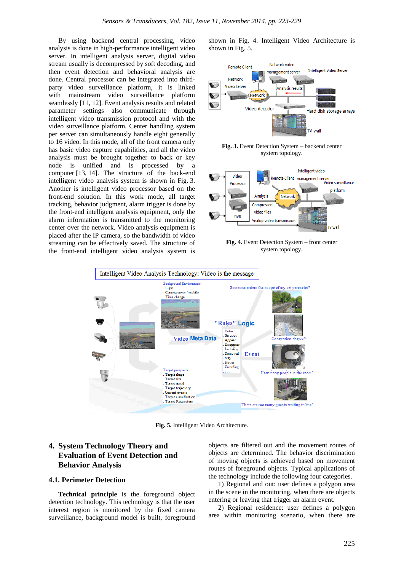By using backend central processing, video analysis is done in high-performance intelligent video server. In intelligent analysis server, digital video stream usually is decompressed by soft decoding, and then event detection and behavioral analysis are done. Central processor can be integrated into thirdparty video surveillance platform, it is linked with mainstream video surveillance platform seamlessly [11, 12]. Event analysis results and related parameter settings also communicate through intelligent video transmission protocol and with the video surveillance platform. Center handling system per server can simultaneously handle eight generally to 16 video. In this mode, all of the front camera only has basic video capture capabilities, and all the video analysis must be brought together to back or key node is unified and is processed by a computer [13, 14]. The structure of the back-end intelligent video analysis system is shown in Fig. 3. Another is intelligent video processor based on the front-end solution. In this work mode, all target tracking, behavior judgment, alarm trigger is done by the front-end intelligent analysis equipment, only the alarm information is transmitted to the monitoring center over the network. Video analysis equipment is placed after the IP camera, so the bandwidth of video streaming can be effectively saved. The structure of the front-end intelligent video analysis system is

shown in Fig. 4. Intelligent Video Architecture is shown in Fig. 5.



**Fig. 3.** Event Detection System – backend center system topology.



**Fig. 4.** Event Detection System – front center system topology.



**Fig. 5.** Intelligent Video Architecture.

## **4. System Technology Theory and Evaluation of Event Detection and Behavior Analysis**

### **4.1. Perimeter Detection**

**Technical principle** is the foreground object detection technology. This technology is that the user interest region is monitored by the fixed camera surveillance, background model is built, foreground objects are filtered out and the movement routes of objects are determined. The behavior discrimination of moving objects is achieved based on movement routes of foreground objects. Typical applications of the technology include the following four categories.

1) Regional and out: user defines a polygon area in the scene in the monitoring, when there are objects entering or leaving that trigger an alarm event.

2) Regional residence: user defines a polygon area within monitoring scenario, when there are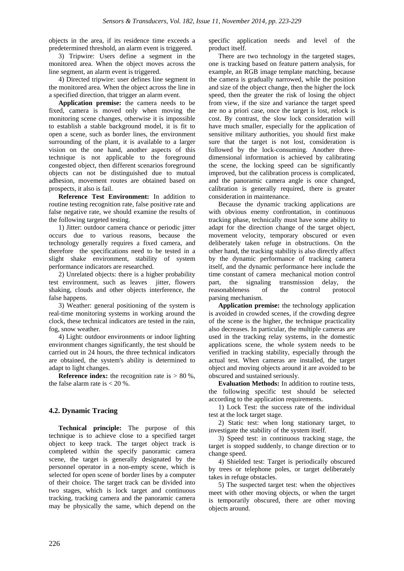objects in the area, if its residence time exceeds a predetermined threshold, an alarm event is triggered.

3) Tripwire: Users define a segment in the monitored area. When the object moves across the line segment, an alarm event is triggered.

4) Directed tripwire: user defines line segment in the monitored area. When the object across the line in a specified direction, that trigger an alarm event.

**Application premise:** the camera needs to be fixed, camera is moved only when moving the monitoring scene changes, otherwise it is impossible to establish a stable background model, it is fit to open a scene, such as border lines, the environment surrounding of the plant, it is available to a larger vision on the one hand, another aspects of this technique is not applicable to the foreground congested object, then different scenarios foreground objects can not be distinguished due to mutual adhesion, movement routes are obtained based on prospects, it also is fail.

**Reference Test Environment:** In addition to routine testing recognition rate, false positive rate and false negative rate, we should examine the results of the following targeted testing.

1) Jitter: outdoor camera chance or periodic jitter occurs due to various reasons, because the technology generally requires a fixed camera, and therefore the specifications need to be tested in a slight shake environment, stability of system performance indicators are researched.

2) Unrelated objects: there is a higher probability test environment, such as leaves jitter, flowers shaking, clouds and other objects interference, the false happens.

3) Weather: general positioning of the system is real-time monitoring systems in working around the clock, these technical indicators are tested in the rain, fog, snow weather.

4) Light: outdoor environments or indoor lighting environment changes significantly, the test should be carried out in 24 hours, the three technical indicators are obtained, the system's ability is determined to adapt to light changes.

**Reference index:** the recognition rate is  $> 80\%$ , the false alarm rate is  $< 20 %$ .

## **4.2. Dynamic Tracing**

**Technical principle:** The purpose of this technique is to achieve close to a specified target object to keep track. The target object track is completed within the specify panoramic camera scene, the target is generally designated by the personnel operator in a non-empty scene, which is selected for open scene of border lines by a computer of their choice. The target track can be divided into two stages, which is lock target and continuous tracking, tracking camera and the panoramic camera may be physically the same, which depend on the

specific application needs and level of the product itself.

There are two technology in the targeted stages, one is tracking based on feature pattern analysis, for example, an RGB image template matching, because the camera is gradually narrowed, while the position and size of the object change, then the higher the lock speed, then the greater the risk of losing the object from view, if the size and variance the target speed are no a priori case, once the target is lost, relock is cost. By contrast, the slow lock consideration will have much smaller, especially for the application of sensitive military authorities, you should first make sure that the target is not lost, consideration is followed by the lock-consuming. Another threedimensional information is achieved by calibrating the scene, the locking speed can be significantly improved, but the calibration process is complicated, and the panoramic camera angle is once changed, calibration is generally required, there is greater consideration in maintenance.

Because the dynamic tracking applications are with obvious enemy confrontation, in continuous tracking phase, technically must have some ability to adapt for the direction change of the target object, movement velocity, temporary obscured or even deliberately taken refuge in obstructions. On the other hand, the tracking stability is also directly affect by the dynamic performance of tracking camera itself, and the dynamic performance here include the time constant of camera mechanical motion control part, the signaling transmission delay, the reasonableness of the control protocol parsing mechanism.

**Application premise:** the technology application is avoided in crowded scenes, if the crowding degree of the scene is the higher, the technique practicality also decreases. In particular, the multiple cameras are used in the tracking relay systems, in the domestic applications scene, the whole system needs to be verified in tracking stability, especially through the actual test. When cameras are installed, the target object and moving objects around it are avoided to be obscured and sustained seriously.

**Evaluation Methods:** In addition to routine tests, the following specific test should be selected according to the application requirements.

1) Lock Test: the success rate of the individual test at the lock target stage.

2) Static test: when long stationary target, to investigate the stability of the system itself.

3) Speed test: in continuous tracking stage, the target is stopped suddenly, to change direction or to change speed.

4) Shielded test: Target is periodically obscured by trees or telephone poles, or target deliberately takes in refuge obstacles.

5) The suspected target test: when the objectives meet with other moving objects, or when the target is temporarily obscured, there are other moving objects around.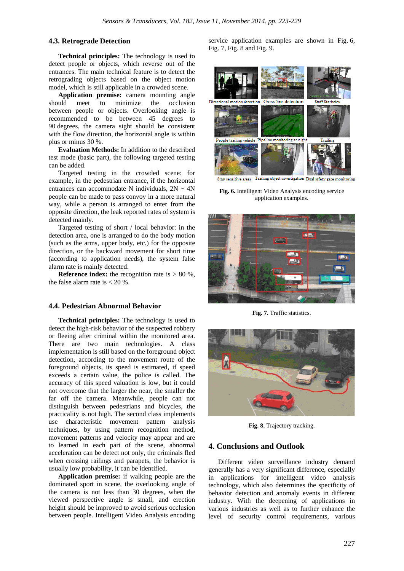## **4.3. Retrograde Detection**

**Technical principles:** The technology is used to detect people or objects, which reverse out of the entrances. The main technical feature is to detect the retrograding objects based on the object motion model, which is still applicable in a crowded scene.

**Application premise:** camera mounting angle should meet to minimize the occlusion between people or objects. Overlooking angle is recommended to be between 45 degrees to 90 degrees, the camera sight should be consistent with the flow direction, the horizontal angle is within plus or minus 30 %.

**Evaluation Methods:** In addition to the described test mode (basic part), the following targeted testing can be added.

Targeted testing in the crowded scene: for example, in the pedestrian entrance, if the horizontal entrances can accommodate N individuals,  $2N \sim 4N$ people can be made to pass convoy in a more natural way, while a person is arranged to enter from the opposite direction, the leak reported rates of system is detected mainly.

Targeted testing of short / local behavior: in the detection area, one is arranged to do the body motion (such as the arms, upper body, etc.) for the opposite direction, or the backward movement for short time (according to application needs), the system false alarm rate is mainly detected.

**Reference index:** the recognition rate is  $> 80\%$ , the false alarm rate is  $< 20 %$ .

### **4.4. Pedestrian Abnormal Behavior**

**Technical principles:** The technology is used to detect the high-risk behavior of the suspected robbery or fleeing after criminal within the monitored area. There are two main technologies. A class implementation is still based on the foreground object detection, according to the movement route of the foreground objects, its speed is estimated, if speed exceeds a certain value, the police is called. The accuracy of this speed valuation is low, but it could not overcome that the larger the near, the smaller the far off the camera. Meanwhile, people can not distinguish between pedestrians and bicycles, the practicality is not high. The second class implements use characteristic movement pattern analysis techniques, by using pattern recognition method, movement patterns and velocity may appear and are to learned in each part of the scene, abnormal acceleration can be detect not only, the criminals fled when crossing railings and parapets, the behavior is usually low probability, it can be identified.

**Application premise:** if walking people are the dominated sport in scene, the overlooking angle of the camera is not less than 30 degrees, when the viewed perspective angle is small, and erection height should be improved to avoid serious occlusion between people. Intelligent Video Analysis encoding

service application examples are shown in Fig. 6, Fig. 7, Fig. 8 and Fig. 9.



Trailing object investigation Dual safety gate monitoring Stay sensitive areas

**Fig. 6.** Intelligent Video Analysis encoding service application examples.



**Fig. 7.** Traffic statistics.



**Fig. 8.** Trajectory tracking.

### **4. Conclusions and Outlook**

Different video surveillance industry demand generally has a very significant difference, especially in applications for intelligent video analysis technology, which also determines the specificity of behavior detection and anomaly events in different industry. With the deepening of applications in various industries as well as to further enhance the level of security control requirements, various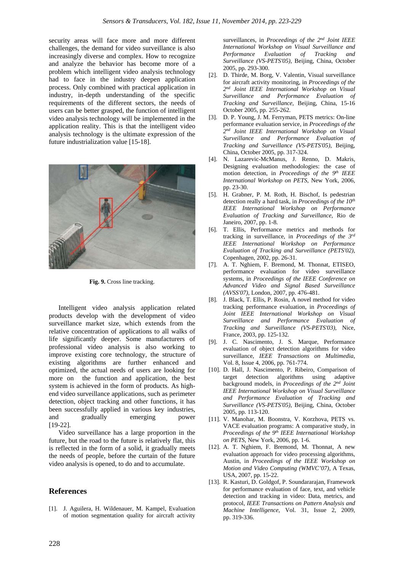security areas will face more and more different challenges, the demand for video surveillance is also increasingly diverse and complex. How to recognize and analyze the behavior has become more of a problem which intelligent video analysis technology had to face in the industry deepen application process. Only combined with practical application in industry, in-depth understanding of the specific requirements of the different sectors, the needs of users can be better grasped, the function of intelligent video analysis technology will be implemented in the application reality. This is that the intelligent video analysis technology is the ultimate expression of the future industrialization value [15-18].



**Fig. 9.** Cross line tracking.

Intelligent video analysis application related products develop with the development of video surveillance market size, which extends from the relative concentration of applications to all walks of life significantly deeper. Some manufacturers of professional video analysis is also working to improve existing core technology, the structure of existing algorithms are further enhanced and optimized, the actual needs of users are looking for more on the function and application, the best system is achieved in the form of products. As highend video surveillance applications, such as perimeter detection, object tracking and other functions, it has been successfully applied in various key industries, and gradually emerging power [19-22].

Video surveillance has a large proportion in the future, but the road to the future is relatively flat, this is reflected in the form of a solid, it gradually meets the needs of people, before the curtain of the future video analysis is opened, to do and to accumulate.

## **References**

[1]. J. Aguilera, H. Wildenauer, M. Kampel, Evaluation of motion segmentation quality for aircraft activity

surveillances, in *Proceedings of the 2nd Joint IEEE International Workshop on Visual Surveillance and Performance Evaluation of Tracking and Surveillance (VS-PETS'05)*, Beijing, China, October 2005, pp. 293-300.

- [2]. D. Thirde, M. Borg, V. Valentin, Visual surveillance for aircraft activity monitoring, in *Proceedings of the 2nd Joint IEEE International Workshop on Visual Surveillance and Performance Evaluation of Tracking and Surveillance*, Beijing, China, 15-16 October 2005, pp. 255-262.
- [3]. D. P. Young, J. M. Ferryman, PETS metrics: On-line performance evaluation service, in *Proceedings of the 2nd Joint IEEE International Workshop on Visual Surveillance and Performance Evaluation of Tracking and Surveillance (VS-PETS'05)*, Beijing, China, October 2005, pp. 317-324.
- [4]. N. Lazarevic-McManus, J. Renno, D. Makris, Designing evaluation methodologies: the case of motion detection, in *Proceedings of the 9th IEEE International Workshop on PETS*, New York, 2006, pp. 23-30.
- [5]. H. Grabner, P. M. Roth, H. Bischof, Is pedestrian detection really a hard task, in *Proceedings of the 10th IEEE International Workshop on Performance Evaluation of Tracking and Surveillance*, Rio de Janeiro, 2007, pp. 1-8.
- [6]. T. Ellis, Performance metrics and methods for tracking in surveillance, in *Proceedings of the 3rd IEEE International Workshop on Performance Evaluation of Tracking and Surveillance (PETS'02)*, Copenhagen, 2002, pp. 26-31.
- [7]. A. T. Nghiem, F. Bremond, M. Thonnat, ETISEO, performance evaluation for video surveillance systems, in *Proceedings of the IEEE Conference on Advanced Video and Signal Based Surveillance (AVSS'07)*, London, 2007, pp. 476-481.
- [8]. J. Black, T. Ellis, P. Rosin, A novel method for video tracking performance evaluation, in *Proceedings of Joint IEEE International Workshop on Visual Surveillance and Performance Evaluation of Tracking and Surveillance (VS-PETS'03)*, Nice, France, 2003, pp. 125-132.
- [9]. J. C. Nascimento, J. S. Marque, Performance evaluation of object detection algorithms for video surveillance, *IEEE Transactions on Multimedia*, Vol. 8, Issue 4, 2006, pp. 761-774.
- [10]. D. Hall, J. Nascimento, P. Ribeiro, Comparison of target detection algorithms using adaptive background models, in *Proceedings of the 2nd Joint IEEE International Workshop on Visual Surveillance and Performance Evaluation of Tracking and Surveillance (VS-PETS'05)*, Beijing, China, October 2005, pp. 113-120.
- [11]. V. Manohar, M. Boonstra, V. Korzhova, PETS vs. VACE evaluation programs: A comparative study, in *Proceedings of the 9th IEEE International Workshop on PETS*, New York, 2006, pp. 1-6.
- [12]. A. T. Nghiem, F. Bremond, M. Thonnat, A new evaluation approach for video processing algorithms, Austin, in *Proceedings of the IEEE Workshop on Motion and Video Computing (WMVC'07)*, A Texas, USA, 2007, pp. 15-22.
- [13]. R. Kasturi, D. Goldgof, P. Soundararajan, Framework for performance evaluation of face, text, and vehicle detection and tracking in video: Data, metrics, and protocol, *IEEE Transactions on Pattern Analysis and Machine Intelligence*, Vol. 31, Issue 2, 2009, pp. 319-336.